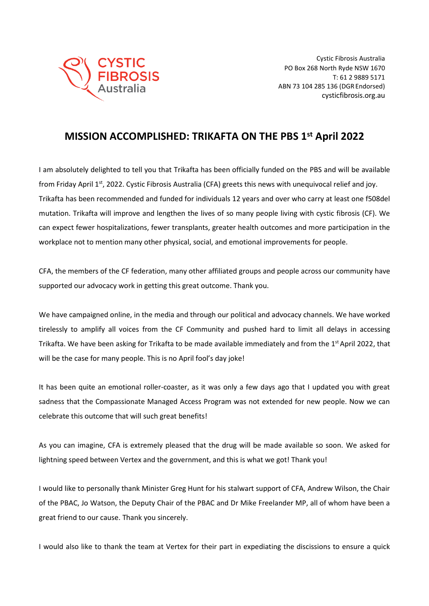

## **MISSION ACCOMPLISHED: TRIKAFTA ON THE PBS 1st April 2022**

I am absolutely delighted to tell you that Trikafta has been officially funded on the PBS and will be available from Friday April 1<sup>st</sup>, 2022. Cystic Fibrosis Australia (CFA) greets this news with unequivocal relief and joy. Trikafta has been recommended and funded for individuals 12 years and over who carry at least one f508del mutation. Trikafta will improve and lengthen the lives of so many people living with cystic fibrosis (CF). We can expect fewer hospitalizations, fewer transplants, greater health outcomes and more participation in the workplace not to mention many other physical, social, and emotional improvements for people.

CFA, the members of the CF federation, many other affiliated groups and people across our community have supported our advocacy work in getting this great outcome. Thank you.

We have campaigned online, in the media and through our political and advocacy channels. We have worked tirelessly to amplify all voices from the CF Community and pushed hard to limit all delays in accessing Trikafta. We have been asking for Trikafta to be made available immediately and from the 1<sup>st</sup> April 2022, that will be the case for many people. This is no April fool's day joke!

It has been quite an emotional roller-coaster, as it was only a few days ago that I updated you with great sadness that the Compassionate Managed Access Program was not extended for new people. Now we can celebrate this outcome that will such great benefits!

As you can imagine, CFA is extremely pleased that the drug will be made available so soon. We asked for lightning speed between Vertex and the government, and this is what we got! Thank you!

I would like to personally thank Minister Greg Hunt for his stalwart support of CFA, Andrew Wilson, the Chair of the PBAC, Jo Watson, the Deputy Chair of the PBAC and Dr Mike Freelander MP, all of whom have been a great friend to our cause. Thank you sincerely.

I would also like to thank the team at Vertex for their part in expediating the discissions to ensure a quick